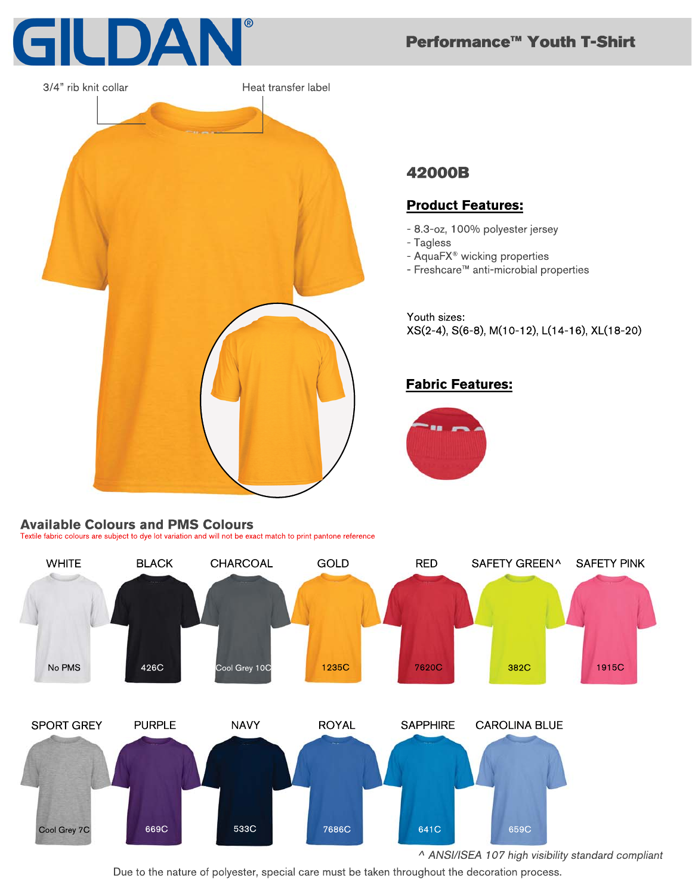



# **42000B**

## **Product Features:**

- 8.3-oz, 100% polyester jersey
- Tagless
- AquaFX<sup>®</sup> wicking properties
- Freshcare™ anti-microbial properties

Youth sizes: XS(2-4), S(6-8), M(10-12), L(14-16), XL(18-20)

Performance<sup>™</sup> Youth T-Shirt

# **Fabric Features:**



#### **Available Colours and PMS Colours**

Textile fabric colours are subject to dye lot variation and will not be exact match to print pantone reference



Due to the nature of polyester, special care must be taken throughout the decoration process.